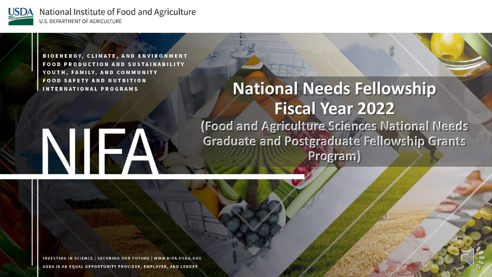

BIOENERGY, CLIMATE, AND ENVIRONMENT **FOOD PRODUCTION AND SUSTAINABILITY** YOUTH, FAMILY, AND COMMUNITY **FOOD SAFETY AND NUTRITION INTERNATIONAL PROGRAMS** 

#### **National Needs Fellowship Fiscal Year 2022 (Food and Agriculture Sciences National Needs Graduate and Postgraduate Fellowship Grants Program)**

# NIF

INVESTING IN SCIENCE | SECURING OUR FUTURE | WWW.NIFA.USDA.GOV USDA IS AN EQUAL OPPORTUNITY PROVIDER, EMPLOYER, AND LENDER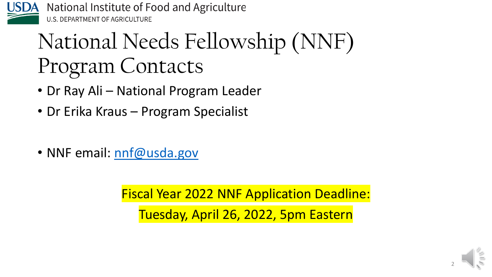

# National Needs Fellowship (NNF) Program Contacts

- Dr Ray Ali National Program Leader
- Dr Erika Kraus Program Specialist
- NNF email: [nnf@usda.gov](mailto:nnf@usda.gov)

Fiscal Year 2022 NNF Application Deadline: Tuesday, April 26, 2022, 5pm Eastern

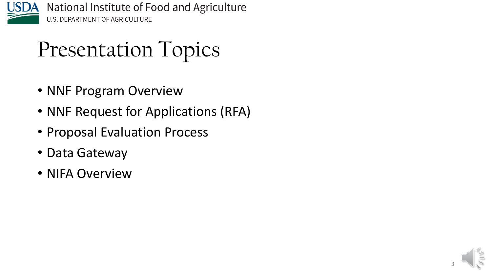

### Presentation Topics

- NNF Program Overview
- NNF Request for Applications (RFA)
- Proposal Evaluation Process
- Data Gateway
- NIFA Overview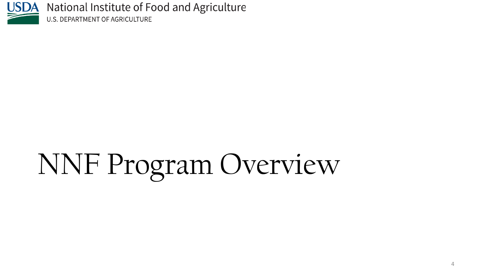

# NNF Program Overview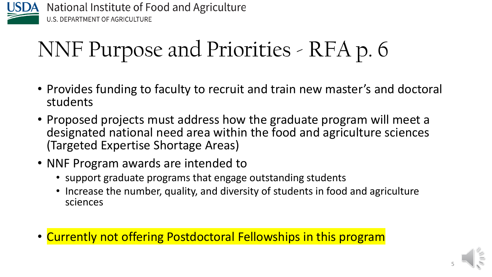

# NNF Purpose and Priorities - RFA p. 6

- Provides funding to faculty to recruit and train new master's and doctoral students
- Proposed projects must address how the graduate program will meet a designated national need area within the food and agriculture sciences (Targeted Expertise Shortage Areas)
- NNF Program awards are intended to
	- support graduate programs that engage outstanding students
	- Increase the number, quality, and diversity of students in food and agriculture sciences
- Currently not offering Postdoctoral Fellowships in this program

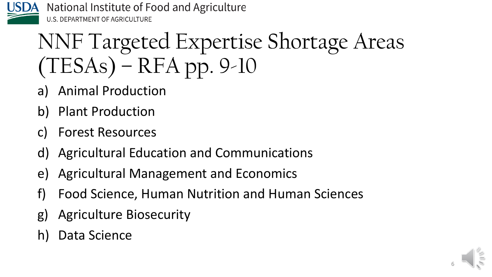

# NNF Targeted Expertise Shortage Areas (TESAs) – RFA pp. 9-10

- a) Animal Production
- b) Plant Production
- c) Forest Resources
- d) Agricultural Education and Communications
- e) Agricultural Management and Economics
- f) Food Science, Human Nutrition and Human Sciences
- g) Agriculture Biosecurity
- h) Data Science

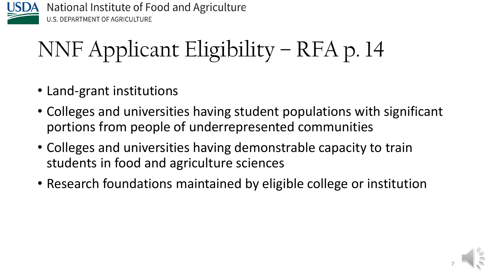

# NNF Applicant Eligibility – RFA p. 14

- Land-grant institutions
- Colleges and universities having student populations with significant portions from people of underrepresented communities
- Colleges and universities having demonstrable capacity to train students in food and agriculture sciences
- Research foundations maintained by eligible college or institution

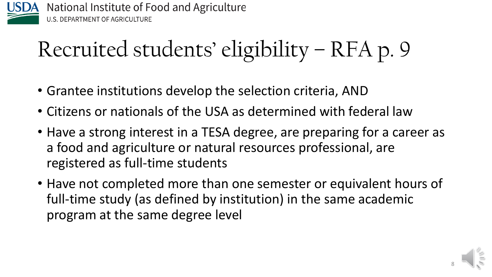

# Recruited students' eligibility – RFA p. 9

- Grantee institutions develop the selection criteria, AND
- Citizens or nationals of the USA as determined with federal law
- Have a strong interest in a TESA degree, are preparing for a career as a food and agriculture or natural resources professional, are registered as full-time students
- Have not completed more than one semester or equivalent hours of full-time study (as defined by institution) in the same academic program at the same degree level

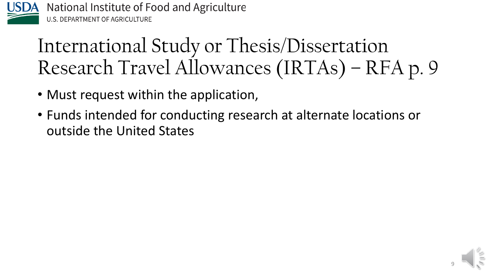

#### International Study or Thesis/Dissertation Research Travel Allowances (IRTAs) – RFA p. 9

- Must request within the application,
- Funds intended for conducting research at alternate locations or outside the United States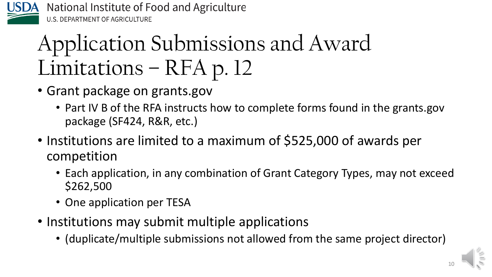

# Application Submissions and Award Limitations – RFA p. 12

- Grant package on grants.gov
	- Part IV B of the RFA instructs how to complete forms found in the grants.gov package (SF424, R&R, etc.)
- Institutions are limited to a maximum of \$525,000 of awards per competition
	- Each application, in any combination of Grant Category Types, may not exceed \$262,500
	- One application per TESA
- Institutions may submit multiple applications
	- (duplicate/multiple submissions not allowed from the same project director)



10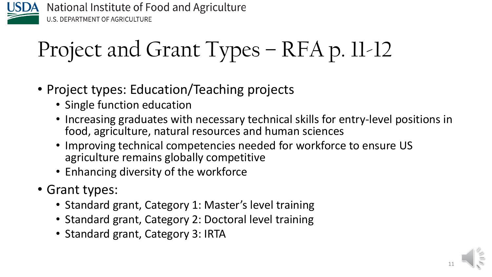

# Project and Grant Types – RFA p. 11-12

- Project types: Education/Teaching projects
	- Single function education
	- Increasing graduates with necessary technical skills for entry-level positions in food, agriculture, natural resources and human sciences
	- Improving technical competencies needed for workforce to ensure US agriculture remains globally competitive
	- Enhancing diversity of the workforce
- Grant types:
	- Standard grant, Category 1: Master's level training
	- Standard grant, Category 2: Doctoral level training
	- Standard grant, Category 3: IRTA

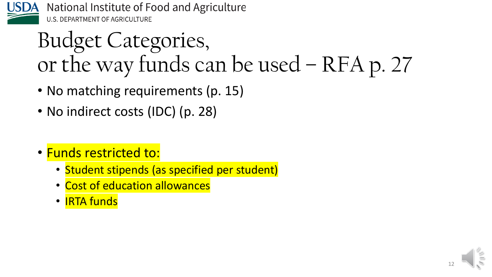

### Budget Categories, or the way funds can be used – RFA p. 27

- No matching requirements (p. 15)
- No indirect costs (IDC) (p. 28)
- Funds restricted to:
	- Student stipends (as specified per student)
	- Cost of education allowances
	- IRTA funds

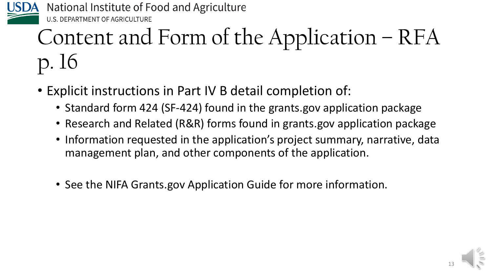

# Content and Form of the Application – RFA p. 16

- Explicit instructions in Part IV B detail completion of:
	- Standard form 424 (SF-424) found in the grants.gov application package
	- Research and Related (R&R) forms found in grants.gov application package
	- Information requested in the application's project summary, narrative, data management plan, and other components of the application.
	- See the NIFA Grants.gov Application Guide for more information.

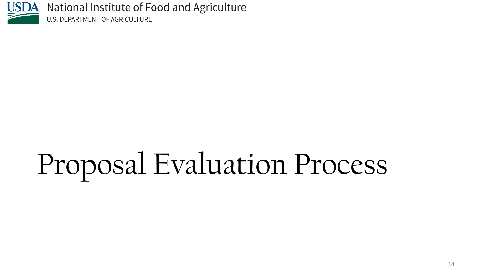

# Proposal Evaluation Process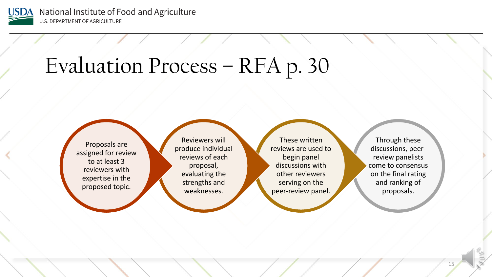

### Evaluation Process – RFA p. 30

Proposals are assigned for review to at least 3 reviewers with expertise in the proposed topic.

Reviewers will produce individual reviews of each proposal, evaluating the strengths and weaknesses.

These written reviews are used to begin panel discussions with other reviewers serving on the peer-review panel.

Through these discussions, peerreview panelists come to consensus on the final rating and ranking of proposals.

15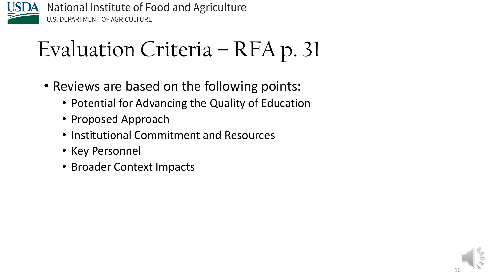

# Evaluation Criteria – RFA p. 31

- Reviews are based on the following points:
	- Potential for Advancing the Quality of Education
	- Proposed Approach
	- Institutional Commitment and Resources
	- Key Personnel
	- Broader Context Impacts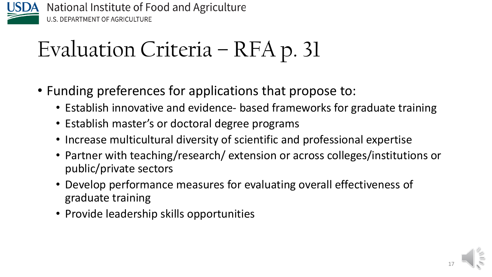

# Evaluation Criteria – RFA p. 31

- Funding preferences for applications that propose to:
	- Establish innovative and evidence- based frameworks for graduate training
	- Establish master's or doctoral degree programs
	- Increase multicultural diversity of scientific and professional expertise
	- Partner with teaching/research/ extension or across colleges/institutions or public/private sectors
	- Develop performance measures for evaluating overall effectiveness of graduate training
	- Provide leadership skills opportunities

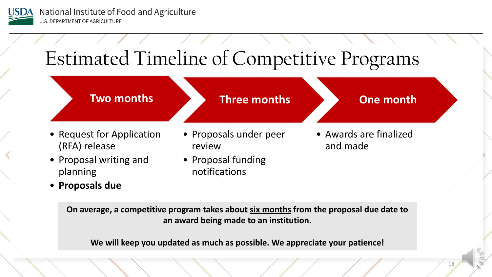

### Estimated Timeline of Competitive Programs



• **Proposals due**

**On average, a competitive program takes about six months from the proposal due date to an award being made to an institution.**

**We will keep you updated as much as possible. We appreciate your patience!**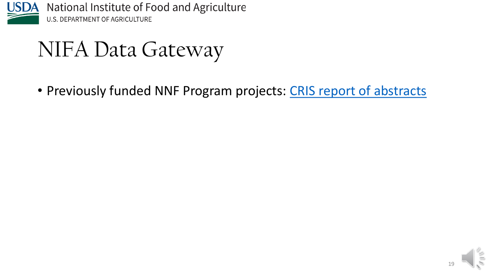

NIFA Data Gateway

• Previously funded NNF Program projects: [CRIS report of abstracts](https://cris.nifa.usda.gov/cgi-bin/starfinder/0?path=hepgflink.txt&id=anon&pass=&search=GC=KK;KK-*%20and%20gy=2006&format=WEBTITLESG)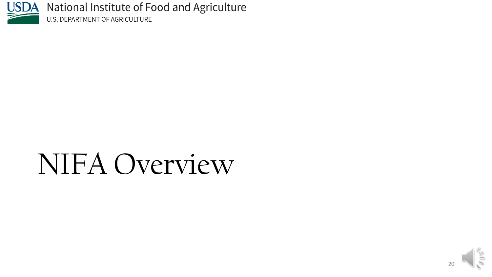

# NIFA Overview

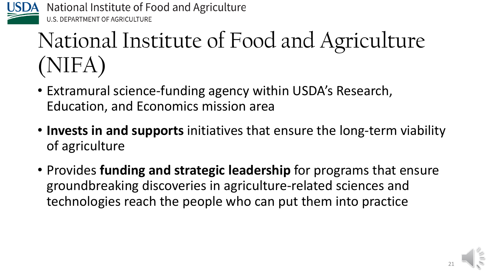

# National Institute of Food and Agriculture (NIFA)

- Extramural science-funding agency within USDA's Research, Education, and Economics mission area
- **Invests in and supports** initiatives that ensure the long-term viability of agriculture
- Provides **funding and strategic leadership** for programs that ensure groundbreaking discoveries in agriculture-related sciences and technologies reach the people who can put them into practice

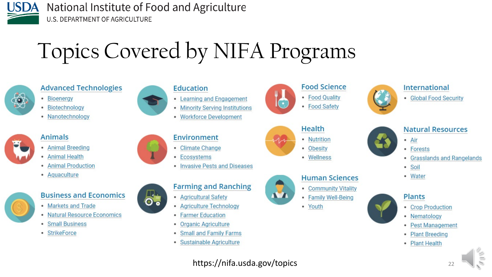

 $\ddot{\bullet}$ 

# Topics Covered by NIFA Programs



#### **Advanced Technologies**

- Bioenergy
- Biotechnology
- Nanotechnology



#### **Animals**

- Animal Breeding
- Animal Health
- Animal Production
- Aquaculture



#### **Business and Economics**

- Markets and Trade
- Natural Resource Economics
- Small Business
- StrikeForce



- Learning and Engagement
- Minority Serving Institutions
- Workforce Development

#### **Environment**

- Climate Change
- Ecosystems
- Invasive Pests and Diseases



- Agricultural Safety
- Agriculture Technology
- **Farmer Education** ٠
- Organic Agriculture ۰
- **Small and Family Farms** ٠
- · Sustainable Agriculture





• Wellness



- Community Vitality
- Family Well-Being
- Youth







- **Natural Resources**
- Air
- Forests
- **Grasslands and Rangelands**
- Soil
- Water







- Nematology **Pest Management**
- **Plant Breeding**
- **Plant Health**  $\bullet$

https://nifa.usda.gov/topics 22

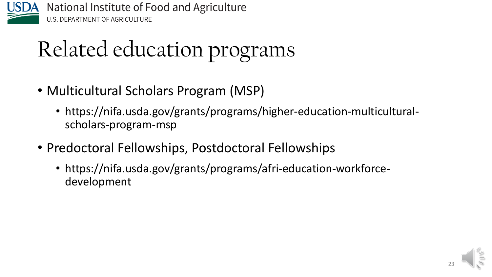

# Related education programs

- Multicultural Scholars Program (MSP)
	- https://nifa.usda.gov/grants/programs/higher-education-multiculturalscholars-program-msp
- Predoctoral Fellowships, Postdoctoral Fellowships
	- https://nifa.usda.gov/grants/programs/afri-education-workforcedevelopment